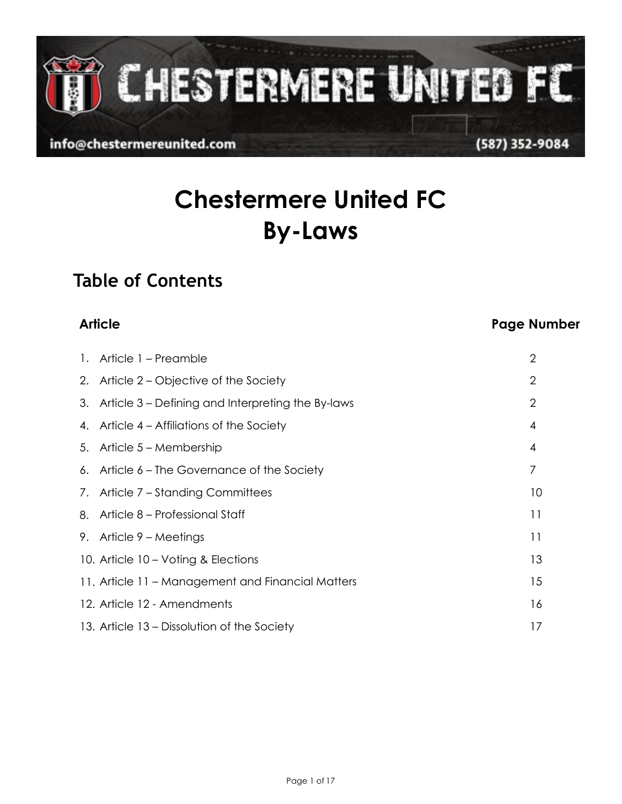CHESTERMERE UNITED FC

info@chestermereunited.com

# **Chestermere United FC By-Laws**

## **Table of Contents**

## **Article Page Number**

| 1. Article 1 – Preamble                              | $\overline{2}$ |
|------------------------------------------------------|----------------|
| 2. Article 2 – Objective of the Society              | $\overline{2}$ |
| 3. Article 3 – Defining and Interpreting the By-laws | $\overline{2}$ |
| 4. Article 4 – Affiliations of the Society           | 4              |
| 5. Article 5 – Membership                            | 4              |
| 6. Article 6 – The Governance of the Society         | 7              |
| 7. Article 7 – Standing Committees                   | 10             |
| 8. Article 8 – Professional Staff                    | 11             |
| 9. Article $9 -$ Meetings                            | 11             |
| 10. Article 10 – Voting & Elections                  | 13             |
| 11. Article 11 – Management and Financial Matters    | 15             |
| 12. Article 12 - Amendments                          | 16             |
| 13. Article 13 – Dissolution of the Society          | 17             |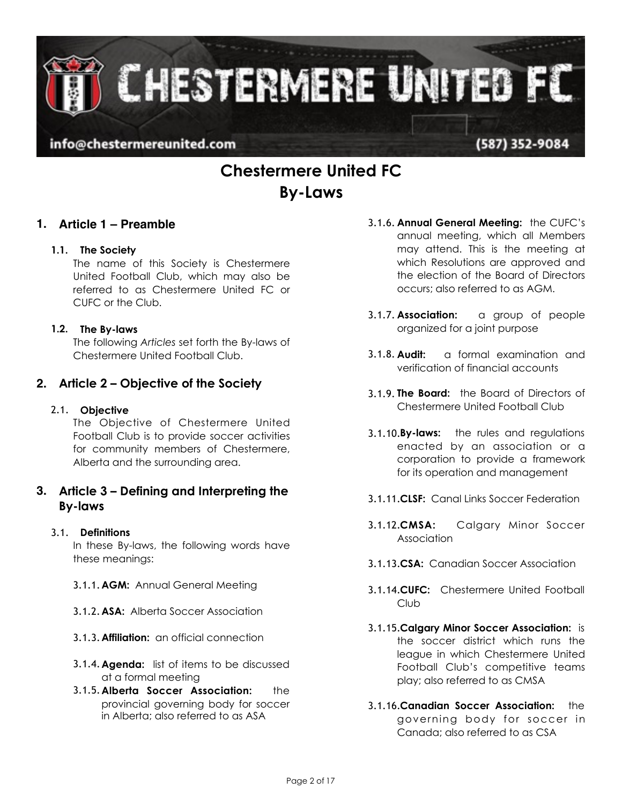**CHESTERMERE UNITED FC** 

info@chestermereunited.com

## **Chestermere United FC By-Laws**

### **1. Article 1 – Preamble**

#### **1.1. The Society**

The name of this Society is Chestermere United Football Club, which may also be referred to as Chestermere United FC or CUFC or the Club.

#### **1.2. The By-laws**

The following *Articles* set forth the By-laws of Chestermere United Football Club.

## **2. Article 2 – Objective of the Society**

#### 2.1. **Objective**

The Objective of Chestermere United Football Club is to provide soccer activities for community members of Chestermere, Alberta and the surrounding area.

### **3. Article 3 – Defining and Interpreting the By-laws**

#### 3.1. **Definitions**

In these By-laws, the following words have these meanings:

- 3.1.1.**AGM:** Annual General Meeting
- 3.1.2.**ASA:** Alberta Soccer Association
- 3.1.3.**Affiliation:** an official connection
- 3.1.4.**Agenda:** list of items to be discussed at a formal meeting
- 3.1.5.**Alberta Soccer Association:** the provincial governing body for soccer in Alberta; also referred to as ASA
- 3.1.6. **Annual General Meeting:** the CUFC's annual meeting, which all Members may attend. This is the meeting at which Resolutions are approved and the election of the Board of Directors occurs; also referred to as AGM.
- 3.1.7. **Association:** a group of people organized for a joint purpose
- 3.1.8. **Audit:** a formal examination and verification of financial accounts
- 3.1.9. **The Board:** the Board of Directors of Chestermere United Football Club
- 3.1.10.**By-laws:** the rules and regulations enacted by an association or a corporation to provide a framework for its operation and management
- 3.1.11.**CLSF:** Canal Links Soccer Federation
- 3.1.12.**CMSA:** Calgary Minor Soccer Association
- 3.1.13.**CSA:** Canadian Soccer Association
- 3.1.14.**CUFC:** Chestermere United Football Club
- 3.1.15.**Calgary Minor Soccer Association:** is the soccer district which runs the league in which Chestermere United Football Club's competitive teams play; also referred to as CMSA
- 3.1.16.**Canadian Soccer Association:** the governing body for soccer in Canada; also referred to as CSA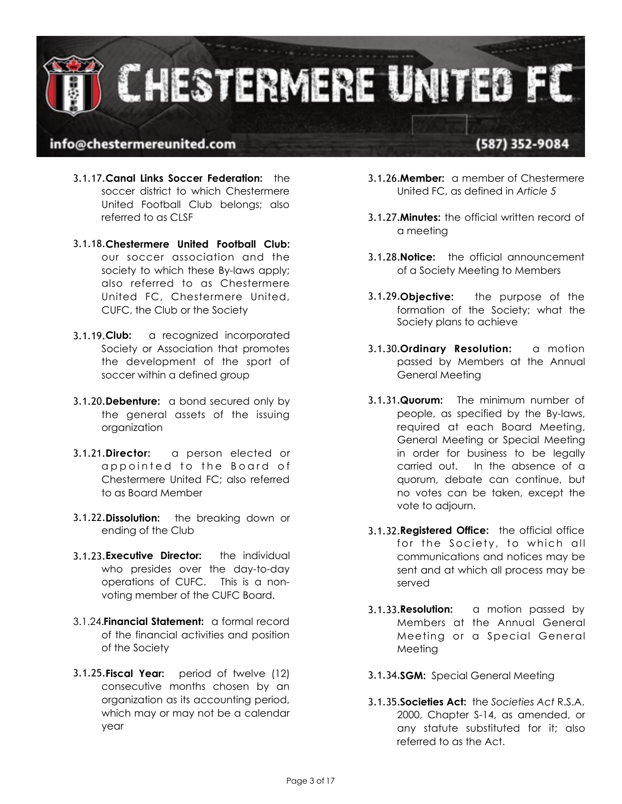

- 3.1.17.**Canal Links Soccer Federation:** the soccer district to which Chestermere United Football Club belongs; also referred to as CLSF
- 3.1.18.**Chestermere United Football Club:** our soccer association and the society to which these By-laws apply; also referred to as Chestermere United FC, Chestermere United, CUFC, the Club or the Society
- 3.1.19.**Club:** a recognized incorporated Society or Association that promotes the development of the sport of soccer within a defined group
- 3.1.20.**Debenture:** a bond secured only by the general assets of the issuing organization
- 3.1.21.**Director:** a person elected or appointed to the Board of Chestermere United FC; also referred to as Board Member
- 3.1.22.**Dissolution:** the breaking down or ending of the Club
- 3.1.23.**Executive Director:** the individual who presides over the day-to-day operations of CUFC. This is a nonvoting member of the CUFC Board.
- 3.1.24.**Financial Statement:** a formal record of the financial activities and position of the Society
- 3.1.25.**Fiscal Year:** period of twelve (12) consecutive months chosen by an organization as its accounting period, which may or may not be a calendar year
- 3.1.26.**Member:** a member of Chestermere United FC, as defined in *Article 5*
- 3.1.27.**Minutes:** the official written record of a meeting
- 3.1.28.**Notice:** the official announcement of a Society Meeting to Members
- 3.1.29.**Objective:** the purpose of the formation of the Society; what the Society plans to achieve
- 3.1.30.**Ordinary Resolution:** a motion passed by Members at the Annual General Meeting
- 3.1.31.**Quorum:** The minimum number of people, as specified by the By-laws, required at each Board Meeting, General Meeting or Special Meeting in order for business to be legally carried out. In the absence of a quorum, debate can continue, but no votes can be taken, except the vote to adjourn.
- 3.1.32.**Registered Office:** the official office for the Society, to which all communications and notices may be sent and at which all process may be served
- 3.1.33.**Resolution:** a motion passed by Members at the Annual General Meeting or a Special General Meeting
- 3.1.34.**SGM:** Special General Meeting
- 3.1.35.**Societies Act:** the *Societies Act* R.S.A. 2000, Chapter S-14, as amended, or any statute substituted for it; also referred to as the Act.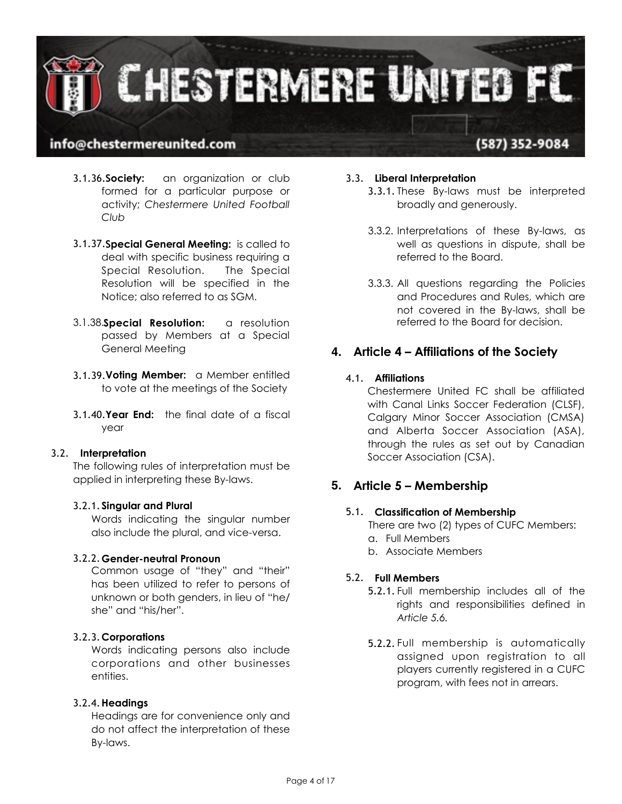

- 3.1.36.**Society:** an organization or club formed for a particular purpose or activity; *Chestermere United Football Club*
- 3.1.37.**Special General Meeting:** is called to deal with specific business requiring a Special Resolution. The Special Resolution will be specified in the Notice; also referred to as SGM.
- 3.1.38.**Special Resolution:** a resolution passed by Members at a Special General Meeting
- 3.1.39.**Voting Member:** a Member entitled to vote at the meetings of the Society
- 3.1.40.**Year End:** the final date of a fiscal year

#### 3.2. **Interpretation**

The following rules of interpretation must be applied in interpreting these By-laws.

#### 3.2.1.**Singular and Plural**

Words indicating the singular number also include the plural, and vice-versa.

#### 3.2.2.**Gender-neutral Pronoun**

Common usage of "they" and "their" has been utilized to refer to persons of unknown or both genders, in lieu of "he/ she" and "his/her".

#### 3.2.3.**Corporations**

Words indicating persons also include corporations and other businesses entities.

#### 3.2.4.**Headings**

Headings are for convenience only and do not affect the interpretation of these By-laws.

#### 3.3. **Liberal Interpretation**

- 3.3.1. These By-laws must be interpreted broadly and generously.
- 3.3.2. Interpretations of these By-laws, as well as questions in dispute, shall be referred to the Board.
- 3.3.3. All questions regarding the Policies and Procedures and Rules, which are not covered in the By-laws, shall be referred to the Board for decision.

### **4. Article 4 – Affiliations of the Society**

#### 4.1. **Affiliations**

Chestermere United FC shall be affiliated with Canal Links Soccer Federation (CLSF), Calgary Minor Soccer Association (CMSA) and Alberta Soccer Association (ASA), through the rules as set out by Canadian Soccer Association (CSA).

### **5. Article 5 – Membership**

#### 5.1. **Classification of Membership**

There are two (2) types of CUFC Members:

- a. Full Members
- b. Associate Members

#### 5.2. **Full Members**

- 5.2.1. Full membership includes all of the rights and responsibilities defined in *Article 5.6.*
- 5.2.2. Full membership is automatically assigned upon registration to all players currently registered in a CUFC program, with fees not in arrears.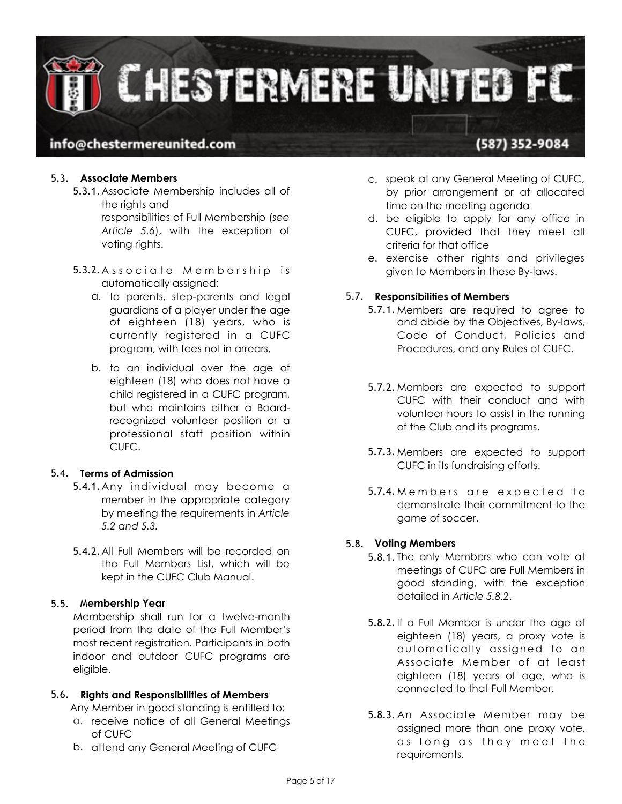

## (587) 352-9084

#### 5.3. **Associate Members**

- 5.3.1.Associate Membership includes all of the rights and responsibilities of Full Membership (*see Article 5.6*), with the exception of voting rights.
- 5.3.2. Associate Membership is automatically assigned:
	- a. to parents, step-parents and legal guardians of a player under the age of eighteen (18) years, who is currently registered in a CUFC program, with fees not in arrears,
	- b. to an individual over the age of eighteen (18) who does not have a child registered in a CUFC program, but who maintains either a Boardrecognized volunteer position or a professional staff position within CUFC.

#### 5.4. **Terms of Admission**

- 5.4.1.Any individual may become a member in the appropriate category by meeting the requirements in *Article 5.2 and 5.3.*
- 5.4.2.All Full Members will be recorded on the Full Members List, which will be kept in the CUFC Club Manual.

#### 5.5. M**embership Year**

Membership shall run for a twelve-month period from the date of the Full Member's most recent registration. Participants in both indoor and outdoor CUFC programs are eligible.

#### 5.6. **Rights and Responsibilities of Members**

Any Member in good standing is entitled to:

- a. receive notice of all General Meetings of CUFC
- b. attend any General Meeting of CUFC
- c. speak at any General Meeting of CUFC, by prior arrangement or at allocated time on the meeting agenda
- d. be eligible to apply for any office in CUFC, provided that they meet all criteria for that office
- e. exercise other rights and privileges given to Members in these By-laws.

#### 5.7. **Responsibilities of Members**

- 5.7.1. Members are required to agree to and abide by the Objectives, By-laws, Code of Conduct, Policies and Procedures, and any Rules of CUFC.
- 5.7.2. Members are expected to support CUFC with their conduct and with volunteer hours to assist in the running of the Club and its programs.
- 5.7.3. Members are expected to support CUFC in its fundraising efforts.
- 5.7.4. Members are expected to demonstrate their commitment to the game of soccer.

#### 5.8. **Voting Members**

- 5.8.1. The only Members who can vote at meetings of CUFC are Full Members in good standing, with the exception detailed in *Article 5.8.2*.
- 5.8.2.If a Full Member is under the age of eighteen (18) years, a proxy vote is automatically assigned to an Associate Member of at least eighteen (18) years of age, who is connected to that Full Member.
- 5.8.3. An Associate Member may be assigned more than one proxy vote, as long as they meet the requirements.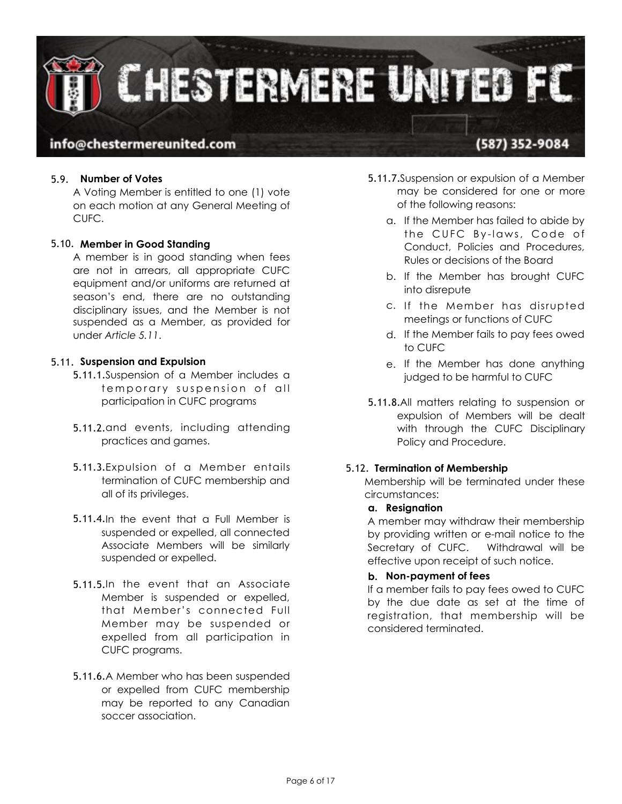

## (587) 352-9084

#### 5.9. **Number of Votes**

A Voting Member is entitled to one (1) vote on each motion at any General Meeting of CUFC.

#### 5.10. **Member in Good Standing**

A member is in good standing when fees are not in arrears, all appropriate CUFC equipment and/or uniforms are returned at season's end, there are no outstanding disciplinary issues, and the Member is not suspended as a Member, as provided for under *Article 5.11*.

#### 5.11. **Suspension and Expulsion**

- 5.11.1.Suspension of a Member includes a temporary suspension of all participation in CUFC programs
- 5.11.2.and events, including attending practices and games.
- 5.11.3.Expulsion of a Member entails termination of CUFC membership and all of its privileges.
- 5.11.4.In the event that a Full Member is suspended or expelled, all connected Associate Members will be similarly suspended or expelled.
- 5.11.5.In the event that an Associate Member is suspended or expelled, that Member's connected Full Member may be suspended or expelled from all participation in CUFC programs.
- 5.11.6.A Member who has been suspended or expelled from CUFC membership may be reported to any Canadian soccer association.
- 5.11.7.Suspension or expulsion of a Member may be considered for one or more of the following reasons:
	- a. If the Member has failed to abide by the CUFC By-laws, Code of Conduct, Policies and Procedures, Rules or decisions of the Board
	- b. If the Member has brought CUFC into disrepute
	- c. If the Member has disrupted meetings or functions of CUFC
	- d. If the Member fails to pay fees owed to CUFC
	- e. If the Member has done anything judged to be harmful to CUFC
- 5.11.8.All matters relating to suspension or expulsion of Members will be dealt with through the CUFC Disciplinary Policy and Procedure.

#### 5.12. **Termination of Membership**

Membership will be terminated under these circumstances:

#### **a. Resignation**

A member may withdraw their membership by providing written or e-mail notice to the Secretary of CUFC. Withdrawal will be effective upon receipt of such notice.

#### **b. Non-payment of fees**

If a member fails to pay fees owed to CUFC by the due date as set at the time of registration, that membership will be considered terminated.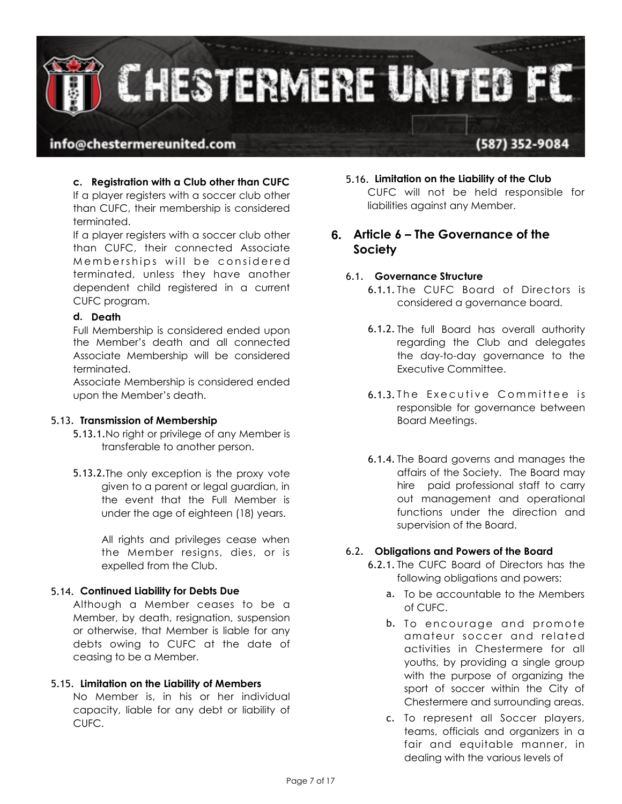

## (587) 352-9084

#### **c. Registration with a Club other than CUFC**  If a player registers with a soccer club other

than CUFC, their membership is considered terminated.

If a player registers with a soccer club other than CUFC, their connected Associate Memberships will be considered terminated, unless they have another dependent child registered in a current CUFC program.

#### **d. Death**

Full Membership is considered ended upon the Member's death and all connected Associate Membership will be considered terminated.

Associate Membership is considered ended upon the Member's death.

#### 5.13. **Transmission of Membership**

- 5.13.1.No right or privilege of any Member is transferable to another person.
- 5.13.2.The only exception is the proxy vote given to a parent or legal guardian, in the event that the Full Member is under the age of eighteen (18) years.

All rights and privileges cease when the Member resigns, dies, or is expelled from the Club.

#### 5.14. **Continued Liability for Debts Due**

Although a Member ceases to be a Member, by death, resignation, suspension or otherwise, that Member is liable for any debts owing to CUFC at the date of ceasing to be a Member.

#### 5.15. **Limitation on the Liability of Members**

No Member is, in his or her individual capacity, liable for any debt or liability of CUFC.

5.16. **Limitation on the Liability of the Club**  CUFC will not be held responsible for liabilities against any Member.

## **6. Article 6 – The Governance of the Society**

#### 6.1. **Governance Structure**

- 6.1.1. The CUFC Board of Directors is considered a governance board.
- 6.1.2. The full Board has overall authority regarding the Club and delegates the day-to-day governance to the Executive Committee.
- 6.1.3. The Executive Committee is responsible for governance between Board Meetings.
- 6.1.4. The Board governs and manages the affairs of the Society. The Board may hire paid professional staff to carry out management and operational functions under the direction and supervision of the Board.

#### 6.2. **Obligations and Powers of the Board**

- 6.2.1. The CUFC Board of Directors has the following obligations and powers:
	- a. To be accountable to the Members of CUFC.
	- b. To encourage and promote amateur soccer and related activities in Chestermere for all youths, by providing a single group with the purpose of organizing the sport of soccer within the City of Chestermere and surrounding areas.
	- c. To represent all Soccer players, teams, officials and organizers in a fair and equitable manner, in dealing with the various levels of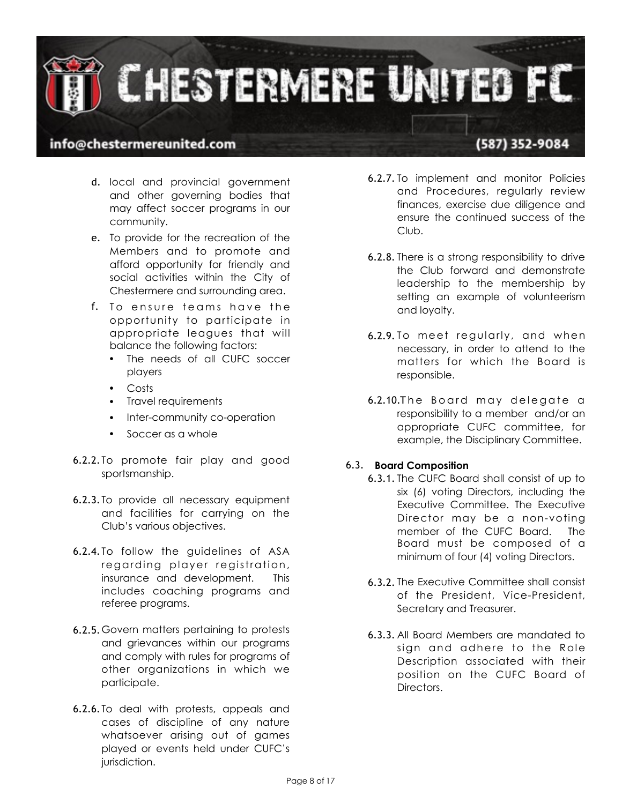

## (587) 352-9084

- d. local and provincial government and other governing bodies that may affect soccer programs in our community.
- e. To provide for the recreation of the Members and to promote and afford opportunity for friendly and social activities within the City of Chestermere and surrounding area.
- f. To ensure teams have the opportunity to participate in appropriate leagues that will balance the following factors:
	- The needs of all CUFC soccer players
	- Costs
	- Travel requirements
	- Inter-community co-operation
	- Soccer as a whole
- 6.2.2. To promote fair play and good sportsmanship.
- 6.2.3. To provide all necessary equipment and facilities for carrying on the Club's various objectives.
- 6.2.4. To follow the guidelines of ASA regarding player registration, insurance and development. This includes coaching programs and referee programs.
- 6.2.5.Govern matters pertaining to protests and grievances within our programs and comply with rules for programs of other organizations in which we participate.
- 6.2.6. To deal with protests, appeals and cases of discipline of any nature whatsoever arising out of games played or events held under CUFC's jurisdiction.
- 6.2.7. To implement and monitor Policies and Procedures, regularly review finances, exercise due diligence and ensure the continued success of the Club.
- 6.2.8. There is a strong responsibility to drive the Club forward and demonstrate leadership to the membership by setting an example of volunteerism and loyalty.
- 6.2.9. To meet regularly, and when necessary, in order to attend to the matters for which the Board is responsible.
- 6.2.10. The Board may delegate a responsibility to a member and/or an appropriate CUFC committee, for example, the Disciplinary Committee.

#### 6.3. **Board Composition**

- 6.3.1. The CUFC Board shall consist of up to six (6) voting Directors, including the Executive Committee. The Executive Director may be a non-voting member of the CUFC Board. The Board must be composed of a minimum of four (4) voting Directors.
- 6.3.2. The Executive Committee shall consist of the President, Vice-President, Secretary and Treasurer.
- 6.3.3. All Board Members are mandated to sign and adhere to the Role Description associated with their position on the CUFC Board of Directors.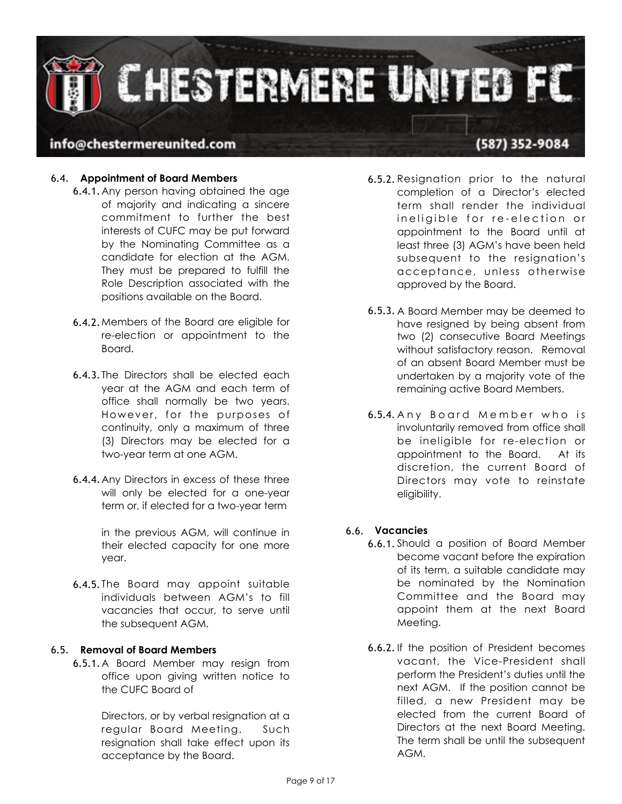

#### 6.4. **Appointment of Board Members**

- 6.4.1.Any person having obtained the age of majority and indicating a sincere commitment to further the best interests of CUFC may be put forward by the Nominating Committee as a candidate for election at the AGM. They must be prepared to fulfill the Role Description associated with the positions available on the Board.
- 6.4.2.Members of the Board are eligible for re-election or appointment to the Board.
- 6.4.3. The Directors shall be elected each year at the AGM and each term of office shall normally be two years. However, for the purposes of continuity, only a maximum of three (3) Directors may be elected for a two-year term at one AGM.
- 6.4.4.Any Directors in excess of these three will only be elected for a one-year term or, if elected for a two-year term

in the previous AGM, will continue in their elected capacity for one more year.

6.4.5. The Board may appoint suitable individuals between AGM's to fill vacancies that occur, to serve until the subsequent AGM.

#### 6.5. **Removal of Board Members**

6.5.1.A Board Member may resign from office upon giving written notice to the CUFC Board of

> Directors, or by verbal resignation at a regular Board Meeting. Such resignation shall take effect upon its acceptance by the Board.

- 6.5.2. Resignation prior to the natural completion of a Director's elected term shall render the individual ineligible for re-election or appointment to the Board until at least three (3) AGM's have been held subsequent to the resignation's acceptance, unless otherwise approved by the Board.
- 6.5.3. A Board Member may be deemed to have resigned by being absent from two (2) consecutive Board Meetings without satisfactory reason. Removal of an absent Board Member must be undertaken by a majority vote of the remaining active Board Members.
- 6.5.4. Any Board Member who is involuntarily removed from office shall be ineligible for re-election or appointment to the Board. At its discretion, the current Board of Directors may vote to reinstate eligibility.

#### 6.6. **Vacancies**

- 6.6.1. Should a position of Board Member become vacant before the expiration of its term, a suitable candidate may be nominated by the Nomination Committee and the Board may appoint them at the next Board Meeting.
- 6.6.2.If the position of President becomes vacant, the Vice-President shall perform the President's duties until the next AGM. If the position cannot be filled, a new President may be elected from the current Board of Directors at the next Board Meeting. The term shall be until the subsequent AGM.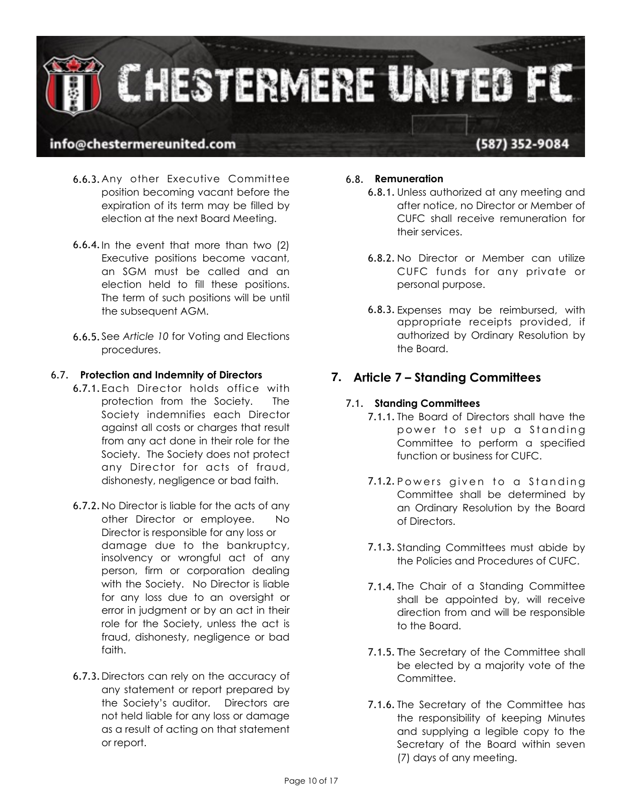

- 6.6.3.Any other Executive Committee position becoming vacant before the expiration of its term may be filled by election at the next Board Meeting.
- 6.6.4.In the event that more than two (2) Executive positions become vacant, an SGM must be called and an election held to fill these positions. The term of such positions will be until the subsequent AGM.
- 6.6.5. See *Article 10* for Voting and Elections procedures.

#### 6.7. **Protection and Indemnity of Directors**

- 6.7.1.Each Director holds office with protection from the Society. The Society indemnifies each Director against all costs or charges that result from any act done in their role for the Society. The Society does not protect any Director for acts of fraud, dishonesty, negligence or bad faith.
- 6.7.2.No Director is liable for the acts of any other Director or employee. No Director is responsible for any loss or damage due to the bankruptcy, insolvency or wrongful act of any person, firm or corporation dealing with the Society. No Director is liable for any loss due to an oversight or error in judgment or by an act in their role for the Society, unless the act is fraud, dishonesty, negligence or bad faith.
- 6.7.3.Directors can rely on the accuracy of any statement or report prepared by the Society's auditor. Directors are not held liable for any loss or damage as a result of acting on that statement or report.

#### 6.8. **Remuneration**

- 6.8.1. Unless authorized at any meeting and after notice, no Director or Member of CUFC shall receive remuneration for their services.
- 6.8.2. No Director or Member can utilize CUFC funds for any private or personal purpose.
- 6.8.3. Expenses may be reimbursed, with appropriate receipts provided, if authorized by Ordinary Resolution by the Board.

## **7. Article 7 – Standing Committees**

#### 7.1. **Standing Committees**

- 7.1.1. The Board of Directors shall have the power to set up a Standing Committee to perform a specified function or business for CUFC.
- 7.1.2. Powers given to a Standing Committee shall be determined by an Ordinary Resolution by the Board of Directors.
- 7.1.3. Standing Committees must abide by the Policies and Procedures of CUFC.
- 7.1.4. The Chair of a Standing Committee shall be appointed by, will receive direction from and will be responsible to the Board.
- 7.1.5. The Secretary of the Committee shall be elected by a majority vote of the Committee.
- 7.1.6. The Secretary of the Committee has the responsibility of keeping Minutes and supplying a legible copy to the Secretary of the Board within seven (7) days of any meeting.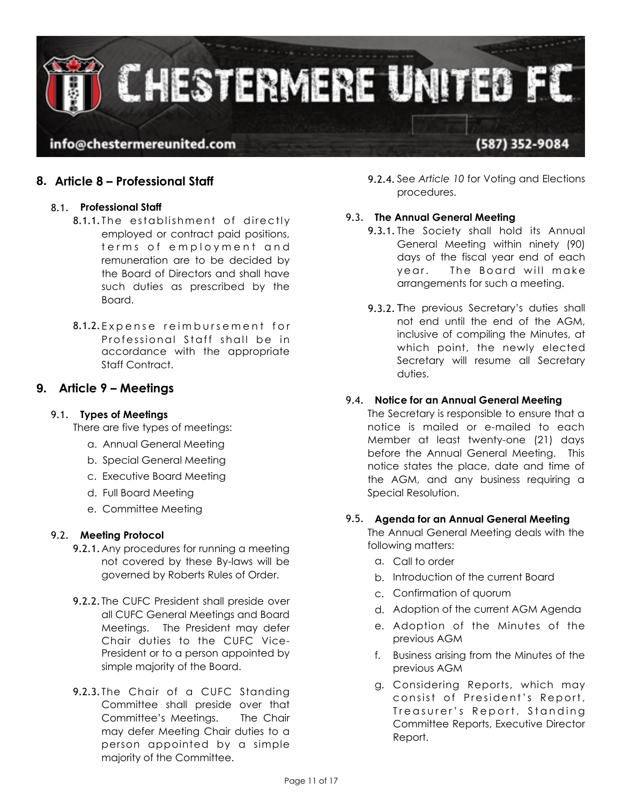

## **8. Article 8 – Professional Staff**

#### 8.1. **Professional Staff**

- 8.1.1. The establishment of directly employed or contract paid positions, terms of employment and remuneration are to be decided by the Board of Directors and shall have such duties as prescribed by the Board.
- 8.1.2. Expense reimbursement for Professional Staff shall be in accordance with the appropriate Staff Contract.

### **9. Article 9 – Meetings**

#### 9.1. **Types of Meetings**

There are five types of meetings:

- a. Annual General Meeting
- b. Special General Meeting
- c. Executive Board Meeting
- d. Full Board Meeting
- e. Committee Meeting

#### 9.2. **Meeting Protocol**

- 9.2.1.Any procedures for running a meeting not covered by these By-laws will be governed by Roberts Rules of Order.
- 9.2.2. The CUFC President shall preside over all CUFC General Meetings and Board Meetings. The President may defer Chair duties to the CUFC Vice-President or to a person appointed by simple majority of the Board.
- 9.2.3. The Chair of a CUFC Standing Committee shall preside over that Committee's Meetings. The Chair may defer Meeting Chair duties to a person appointed by a simple majority of the Committee.

9.2.4. See *Article 10* for Voting and Elections procedures.

#### 9.3. **The Annual General Meeting**

- 9.3.1. The Society shall hold its Annual General Meeting within ninety (90) days of the fiscal year end of each year. The Board will make arrangements for such a meeting.
- 9.3.2. The previous Secretary's duties shall not end until the end of the AGM, inclusive of compiling the Minutes, at which point, the newly elected Secretary will resume all Secretary duties.

#### 9.4. **Notice for an Annual General Meeting**

The Secretary is responsible to ensure that a notice is mailed or e-mailed to each Member at least twenty-one (21) days before the Annual General Meeting. This notice states the place, date and time of the AGM, and any business requiring a Special Resolution.

#### 9.5. **Agenda for an Annual General Meeting**

The Annual General Meeting deals with the following matters:

- a. Call to order
- b. Introduction of the current Board
- c. Confirmation of quorum
- d. Adoption of the current AGM Agenda
- e. Adoption of the Minutes of the previous AGM
- f. Business arising from the Minutes of the previous AGM
- g. Considering Reports, which may consist of President's Report, Treasurer's Report, Standing Committee Reports, Executive Director Report.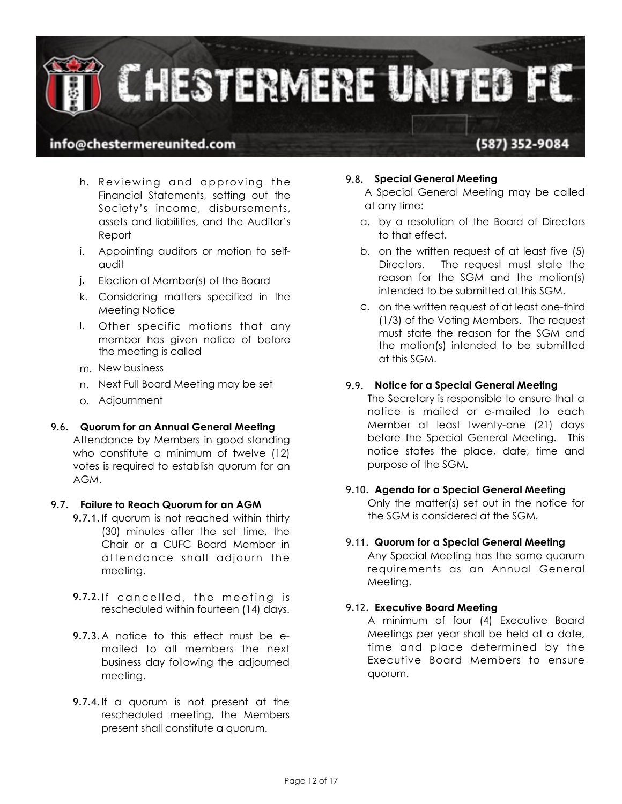

## (587) 352-9084

- h. Reviewing and approving the Financial Statements, setting out the Society's income, disbursements, assets and liabilities, and the Auditor's Report
- i. Appointing auditors or motion to selfaudit
- j. Election of Member(s) of the Board
- k. Considering matters specified in the Meeting Notice
- l. Other specific motions that any member has given notice of before the meeting is called
- m. New business
- n. Next Full Board Meeting may be set
- o. Adjournment

#### 9.6. **Quorum for an Annual General Meeting**

Attendance by Members in good standing who constitute a minimum of twelve (12) votes is required to establish quorum for an AGM.

#### 9.7. **Failure to Reach Quorum for an AGM**

- 9.7.1. If quorum is not reached within thirty (30) minutes after the set time, the Chair or a CUFC Board Member in attendance shall adjourn the meeting.
- 9.7.2. If cancelled, the meeting is rescheduled within fourteen (14) days.
- 9.7.3.A notice to this effect must be emailed to all members the next business day following the adjourned meeting.
- 9.7.4.If a quorum is not present at the rescheduled meeting, the Members present shall constitute a quorum.

#### 9.8. **Special General Meeting**

A Special General Meeting may be called at any time:

- a. by a resolution of the Board of Directors to that effect.
- b. on the written request of at least five (5) Directors. The request must state the reason for the SGM and the motion(s) intended to be submitted at this SGM.
- c. on the written request of at least one-third (1/3) of the Voting Members. The request must state the reason for the SGM and the motion(s) intended to be submitted at this SGM.

#### 9.9. **Notice for a Special General Meeting**

The Secretary is responsible to ensure that a notice is mailed or e-mailed to each Member at least twenty-one (21) days before the Special General Meeting. This notice states the place, date, time and purpose of the SGM.

## 9.10. **Agenda for a Special General Meeting**

Only the matter(s) set out in the notice for the SGM is considered at the SGM.

#### 9.11. **Quorum for a Special General Meeting**

Any Special Meeting has the same quorum requirements as an Annual General Meeting.

#### 9.12. **Executive Board Meeting**

A minimum of four (4) Executive Board Meetings per year shall be held at a date, time and place determined by the Executive Board Members to ensure quorum.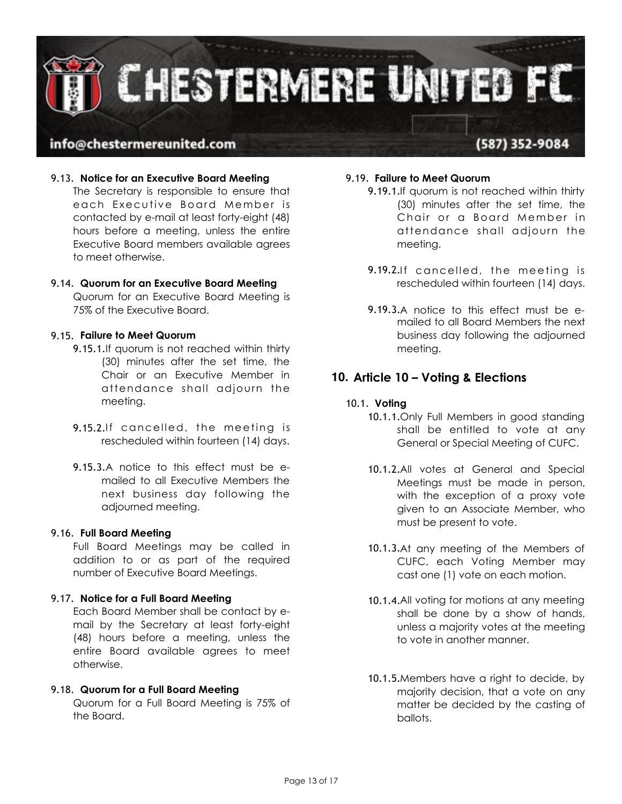

#### 9.13. **Notice for an Executive Board Meeting**

The Secretary is responsible to ensure that each Executive Board Member is contacted by e-mail at least forty-eight (48) hours before a meeting, unless the entire Executive Board members available agrees to meet otherwise.

#### 9.14. **Quorum for an Executive Board Meeting**

Quorum for an Executive Board Meeting is 75% of the Executive Board.

#### 9.15. **Failure to Meet Quorum**

- 9.15.1.If quorum is not reached within thirty (30) minutes after the set time, the Chair or an Executive Member in attendance shall adjourn the meeting.
- 9.15.2. If cancelled, the meeting is rescheduled within fourteen (14) days.
- 9.15.3.A notice to this effect must be emailed to all Executive Members the next business day following the adjourned meeting.

#### 9.16. **Full Board Meeting**

Full Board Meetings may be called in addition to or as part of the required number of Executive Board Meetings.

#### 9.17. **Notice for a Full Board Meeting**

Each Board Member shall be contact by email by the Secretary at least forty-eight (48) hours before a meeting, unless the entire Board available agrees to meet otherwise.

#### 9.18. **Quorum for a Full Board Meeting**

Quorum for a Full Board Meeting is 75% of the Board.

#### 9.19. **Failure to Meet Quorum**

- 9.19.1.If quorum is not reached within thirty (30) minutes after the set time, the Chair or a Board Member in attendance shall adjourn the meeting.
- 9.19.2. If cancelled, the meeting is rescheduled within fourteen (14) days.
- 9.19.3.A notice to this effect must be emailed to all Board Members the next business day following the adjourned meeting.

#### **10. Article 10 – Voting & Elections**

#### 10.1. **Voting**

- 10.1.1.Only Full Members in good standing shall be entitled to vote at any General or Special Meeting of CUFC.
- 10.1.2.All votes at General and Special Meetings must be made in person, with the exception of a proxy vote given to an Associate Member, who must be present to vote.
- 10.1.3.At any meeting of the Members of CUFC, each Voting Member may cast one (1) vote on each motion.
- 10.1.4.All voting for motions at any meeting shall be done by a show of hands, unless a majority votes at the meeting to vote in another manner.
- 10.1.5.Members have a right to decide, by majority decision, that a vote on any matter be decided by the casting of ballots.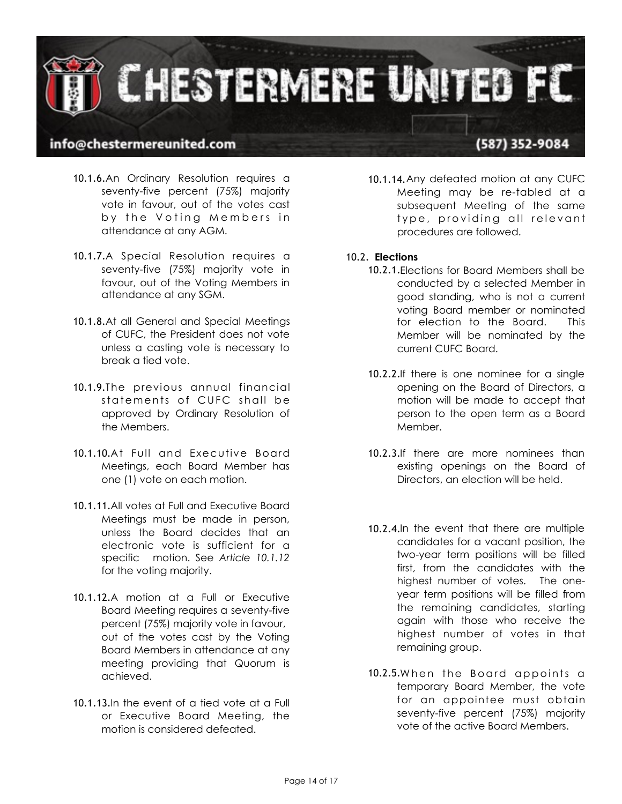

## (587) 352-9084

- 10.1.6.An Ordinary Resolution requires a seventy-five percent (75%) majority vote in favour, out of the votes cast by the Voting Members in attendance at any AGM.
- 10.1.7.A Special Resolution requires a seventy-five (75%) majority vote in favour, out of the Voting Members in attendance at any SGM.
- 10.1.8.At all General and Special Meetings of CUFC, the President does not vote unless a casting vote is necessary to break a tied vote.
- 10.1.9.The previous annual financial statements of CUFC shall be approved by Ordinary Resolution of the Members.
- 10.1.10.At Full and Executive Board Meetings, each Board Member has one (1) vote on each motion.
- 10.1.11.All votes at Full and Executive Board Meetings must be made in person, unless the Board decides that an electronic vote is sufficient for a specific motion. See *Article 10.1.12* for the voting majority.
- 10.1.12.A motion at a Full or Executive Board Meeting requires a seventy-five percent (75%) majority vote in favour, out of the votes cast by the Voting Board Members in attendance at any meeting providing that Quorum is achieved.
- 10.1.13.In the event of a tied vote at a Full or Executive Board Meeting, the motion is considered defeated.
- 10.1.14.Any defeated motion at any CUFC Meeting may be re-tabled at a subsequent Meeting of the same type, providing all relevant procedures are followed.
- 10.2. **Elections** 
	- 10.2.1.Elections for Board Members shall be conducted by a selected Member in good standing, who is not a current voting Board member or nominated for election to the Board. This Member will be nominated by the current CUFC Board.
	- 10.2.2.If there is one nominee for a single opening on the Board of Directors, a motion will be made to accept that person to the open term as a Board Member.
	- 10.2.3.If there are more nominees than existing openings on the Board of Directors, an election will be held.
	- 10.2.4.In the event that there are multiple candidates for a vacant position, the two-year term positions will be filled first, from the candidates with the highest number of votes. The oneyear term positions will be filled from the remaining candidates, starting again with those who receive the highest number of votes in that remaining group.
	- 10.2.5. When the Board appoints a temporary Board Member, the vote for an appointee must obtain seventy-five percent (75%) majority vote of the active Board Members.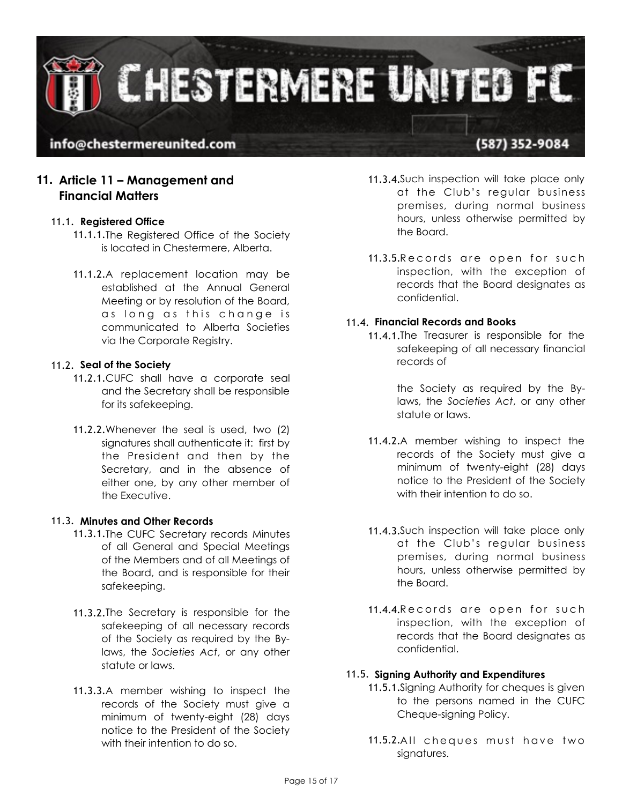

## **11. Article 11 – Management and Financial Matters**

#### 11.1. **Registered Office**

- 11.1.1.The Registered Office of the Society is located in Chestermere, Alberta.
- 11.1.2.A replacement location may be established at the Annual General Meeting or by resolution of the Board, as long as this change is communicated to Alberta Societies via the Corporate Registry.

#### 11.2. **Seal of the Society**

- 11.2.1.CUFC shall have a corporate seal and the Secretary shall be responsible for its safekeeping.
- 11.2.2.Whenever the seal is used, two (2) signatures shall authenticate it: first by the President and then by the Secretary, and in the absence of either one, by any other member of the Executive.

#### 11.3. **Minutes and Other Records**

- 11.3.1.The CUFC Secretary records Minutes of all General and Special Meetings of the Members and of all Meetings of the Board, and is responsible for their safekeeping.
- 11.3.2.The Secretary is responsible for the safekeeping of all necessary records of the Society as required by the Bylaws, the *Societies Act*, or any other statute or laws.
- 11.3.3.A member wishing to inspect the records of the Society must give a minimum of twenty-eight (28) days notice to the President of the Society with their intention to do so.
- 11.3.4.Such inspection will take place only at the Club's regular business premises, during normal business hours, unless otherwise permitted by the Board.
- 11.3.5. Records are open for such inspection, with the exception of records that the Board designates as confidential.

#### 11.4. **Financial Records and Books**

11.4.1.The Treasurer is responsible for the safekeeping of all necessary financial records of

> the Society as required by the Bylaws, the *Societies Act*, or any other statute or laws.

- 11.4.2.A member wishing to inspect the records of the Society must give a minimum of twenty-eight (28) days notice to the President of the Society with their intention to do so.
- 11.4.3.Such inspection will take place only at the Club's regular business premises, during normal business hours, unless otherwise permitted by the Board.
- 11.4.4. Records are open for such inspection, with the exception of records that the Board designates as confidential.

#### 11.5. **Signing Authority and Expenditures**

- 11.5.1.Signing Authority for cheques is given to the persons named in the CUFC Cheque-signing Policy.
- 11.5.2.All cheques must have two signatures.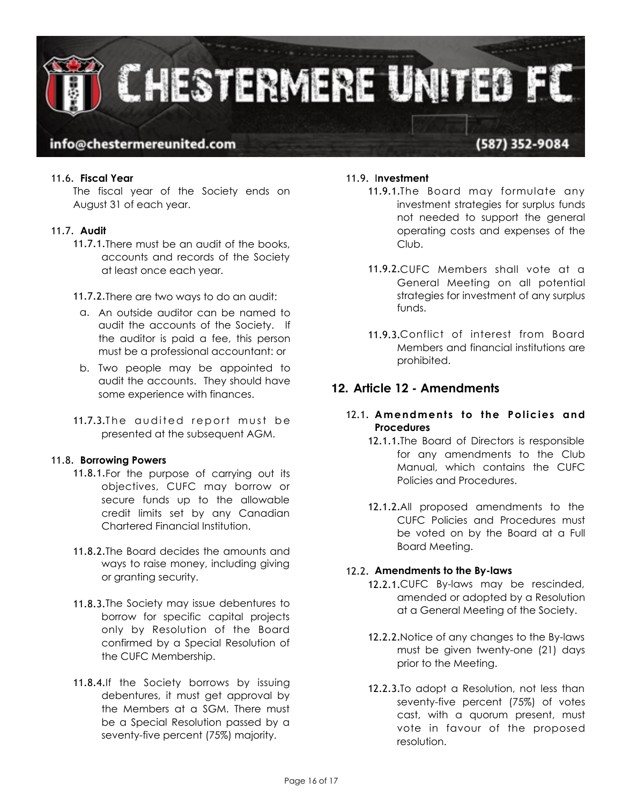

#### 11.6. **Fiscal Year**

The fiscal year of the Society ends on August 31 of each year.

#### 11.7. **Audit**

11.7.1.There must be an audit of the books, accounts and records of the Society at least once each year.

11.7.2.There are two ways to do an audit:

- a. An outside auditor can be named to audit the accounts of the Society. If the auditor is paid a fee, this person must be a professional accountant: or
- b. Two people may be appointed to audit the accounts. They should have some experience with finances.
- 11.7.3. The qudited report must be presented at the subsequent AGM.

#### 11.8. **Borrowing Powers**

- 11.8.1.For the purpose of carrying out its objectives, CUFC may borrow or secure funds up to the allowable credit limits set by any Canadian Chartered Financial Institution.
- 11.8.2.The Board decides the amounts and ways to raise money, including giving or granting security.
- 11.8.3.The Society may issue debentures to borrow for specific capital projects only by Resolution of the Board confirmed by a Special Resolution of the CUFC Membership.
- 11.8.4.If the Society borrows by issuing debentures, it must get approval by the Members at a SGM. There must be a Special Resolution passed by a seventy-five percent (75%) majority.

#### 11.9. I**nvestment**

- 11.9.1.The Board may formulate any investment strategies for surplus funds not needed to support the general operating costs and expenses of the Club.
- 11.9.2.CUFC Members shall vote at a General Meeting on all potential strategies for investment of any surplus funds.
- 11.9.3.Conflict of interest from Board Members and financial institutions are prohibited.

### **12. Article 12 - Amendments**

#### 12.1. **Amendments to the Policies and Procedures**

- 12.1.1.The Board of Directors is responsible for any amendments to the Club Manual, which contains the CUFC Policies and Procedures.
- 12.1.2.All proposed amendments to the CUFC Policies and Procedures must be voted on by the Board at a Full Board Meeting.

#### 12.2. **Amendments to the By-laws**

- 12.2.1.CUFC By-laws may be rescinded, amended or adopted by a Resolution at a General Meeting of the Society.
- 12.2.2.Notice of any changes to the By-laws must be given twenty-one (21) days prior to the Meeting.
- 12.2.3.To adopt a Resolution, not less than seventy-five percent (75%) of votes cast, with a quorum present, must vote in favour of the proposed resolution.